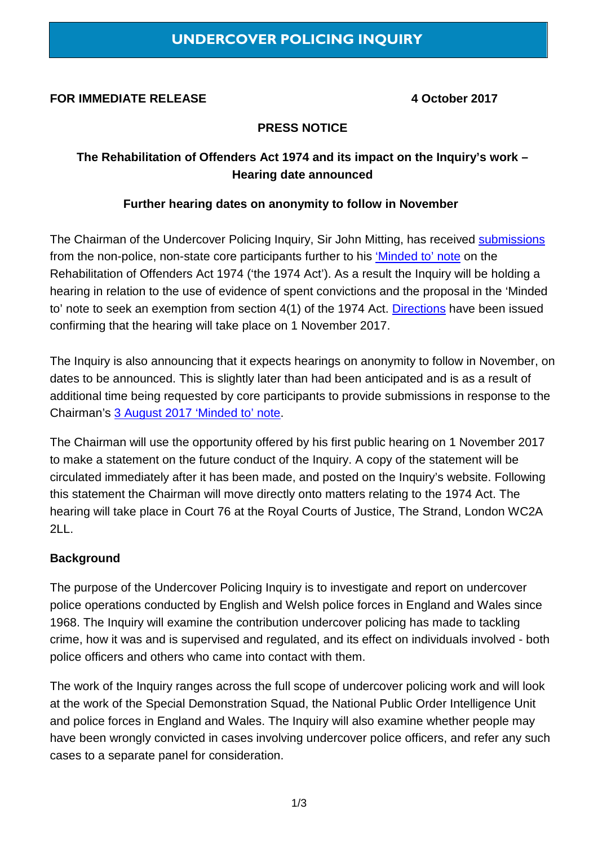### **FOR IMMEDIATE RELEASE 4 October 2017**

## **PRESS NOTICE**

# **The Rehabilitation of Offenders Act 1974 and its impact on the Inquiry's work – Hearing date announced**

#### **Further hearing dates on anonymity to follow in November**

The Chairman of the Undercover Policing Inquiry, Sir John Mitting, has received [submissions](https://www.ucpi.org.uk/wp-content/uploads/2017/10/20170914-NPNSCP-ROA-1974-submissions-hearing-requested.pdf) from the non-police, non-state core participants further to his ['Minded to' note](https://www.ucpi.org.uk/wp-content/uploads/2017/08/20170802-minded-to-ROA-1974.pdf) on the Rehabilitation of Offenders Act 1974 ('the 1974 Act'). As a result the Inquiry will be holding a hearing in relation to the use of evidence of spent convictions and the proposal in the 'Minded to' note to seek an exemption from section 4(1) of the 1974 Act. [Directions](https://www.ucpi.org.uk/wp-content/uploads/2017/10/20171004-direction-ROA-1974.pdf) have been issued confirming that the hearing will take place on 1 November 2017.

The Inquiry is also announcing that it expects hearings on anonymity to follow in November, on dates to be announced. This is slightly later than had been anticipated and is as a result of additional time being requested by core participants to provide submissions in response to the Chairman's [3 August 2017 'Minded to' note.](https://www.ucpi.org.uk/wp-content/uploads/2017/08/20170803-Minded-to.pdf)

The Chairman will use the opportunity offered by his first public hearing on 1 November 2017 to make a statement on the future conduct of the Inquiry. A copy of the statement will be circulated immediately after it has been made, and posted on the Inquiry's website. Following this statement the Chairman will move directly onto matters relating to the 1974 Act. The hearing will take place in Court 76 at the Royal Courts of Justice, The Strand, London WC2A 2LL.

### **Background**

The purpose of the Undercover Policing Inquiry is to investigate and report on undercover police operations conducted by English and Welsh police forces in England and Wales since 1968. The Inquiry will examine the contribution undercover policing has made to tackling crime, how it was and is supervised and regulated, and its effect on individuals involved - both police officers and others who came into contact with them.

The work of the Inquiry ranges across the full scope of undercover policing work and will look at the work of the Special Demonstration Squad, the National Public Order Intelligence Unit and police forces in England and Wales. The Inquiry will also examine whether people may have been wrongly convicted in cases involving undercover police officers, and refer any such cases to a separate panel for consideration.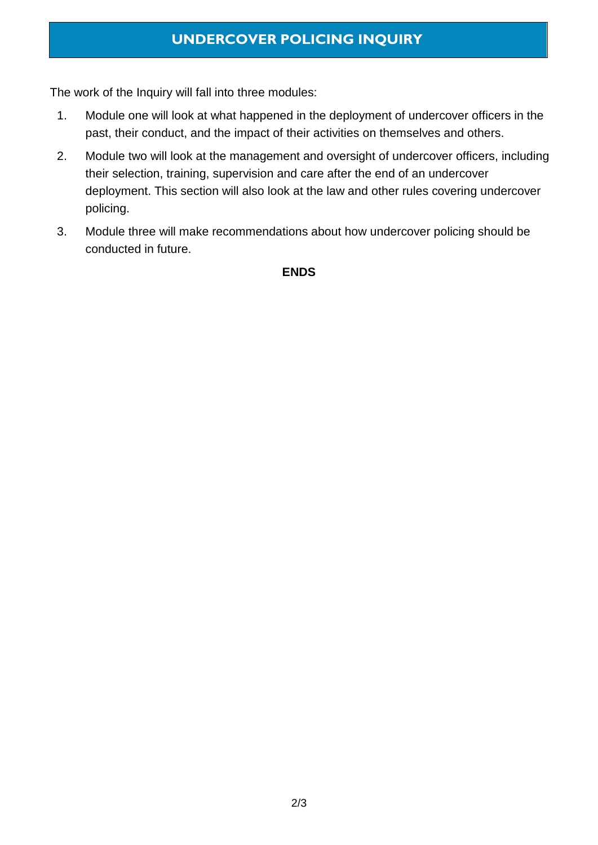# **UNDERCOVER POLICING INQUIRY**

The work of the Inquiry will fall into three modules:

- 1. Module one will look at what happened in the deployment of undercover officers in the past, their conduct, and the impact of their activities on themselves and others.
- 2. Module two will look at the management and oversight of undercover officers, including their selection, training, supervision and care after the end of an undercover deployment. This section will also look at the law and other rules covering undercover policing.
- 3. Module three will make recommendations about how undercover policing should be conducted in future.

#### **ENDS**